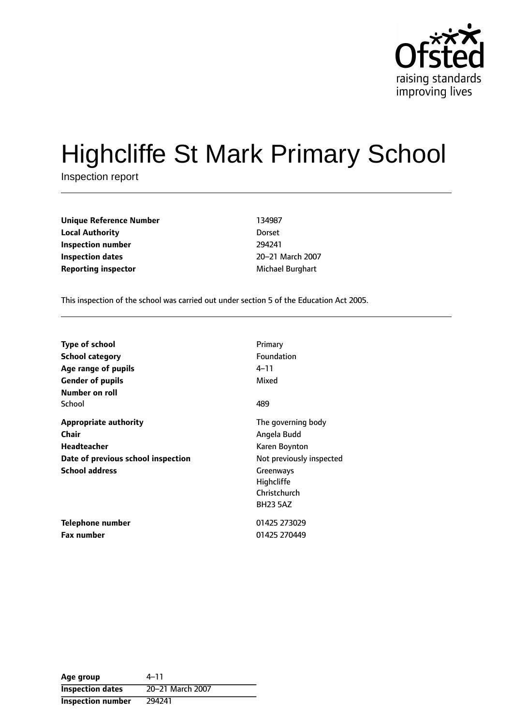

# Highcliffe St Mark Primary School

Inspection report

**Unique Reference Number** 134987 **Local Authority** Dorset **Inspection number** 294241 **Inspection dates** 20-21 March 2007 **Reporting inspector** Michael Burghart

This inspection of the school was carried out under section 5 of the Education Act 2005.

| Type of school                     | Primary                  |
|------------------------------------|--------------------------|
| <b>School category</b>             | Foundation               |
| Age range of pupils                | 4–11                     |
| <b>Gender of pupils</b>            | Mixed                    |
| Number on roll                     |                          |
| School                             | 489                      |
| <b>Appropriate authority</b>       | The governing body       |
| Chair                              | Angela Budd              |
| Headteacher                        | Karen Boynton            |
| Date of previous school inspection | Not previously inspected |
| <b>School address</b>              | Greenways                |
|                                    | Highcliffe               |
|                                    | Christchurch             |
|                                    | <b>BH23 5AZ</b>          |
| <b>Telephone number</b>            | 01425 273029             |
| <b>Fax number</b>                  | 01425 270449             |

| Age group                | 4–11             |
|--------------------------|------------------|
| <b>Inspection dates</b>  | 20-21 March 2007 |
| <b>Inspection number</b> | 294241           |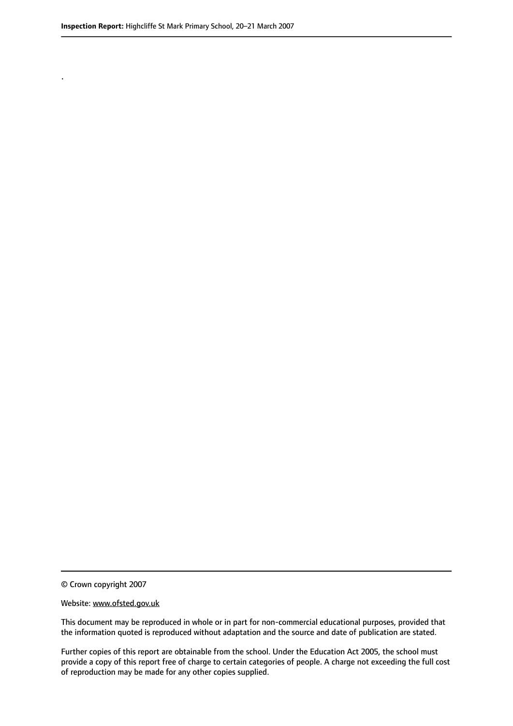.

© Crown copyright 2007

#### Website: www.ofsted.gov.uk

This document may be reproduced in whole or in part for non-commercial educational purposes, provided that the information quoted is reproduced without adaptation and the source and date of publication are stated.

Further copies of this report are obtainable from the school. Under the Education Act 2005, the school must provide a copy of this report free of charge to certain categories of people. A charge not exceeding the full cost of reproduction may be made for any other copies supplied.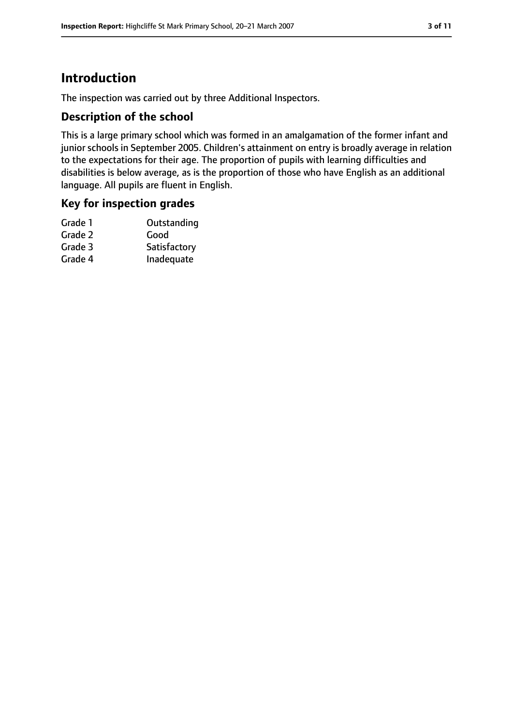# **Introduction**

The inspection was carried out by three Additional Inspectors.

## **Description of the school**

This is a large primary school which was formed in an amalgamation of the former infant and junior schools in September 2005. Children's attainment on entry is broadly average in relation to the expectations for their age. The proportion of pupils with learning difficulties and disabilities is below average, as is the proportion of those who have English as an additional language. All pupils are fluent in English.

## **Key for inspection grades**

| Outstanding  |
|--------------|
| Good         |
| Satisfactory |
| Inadequate   |
|              |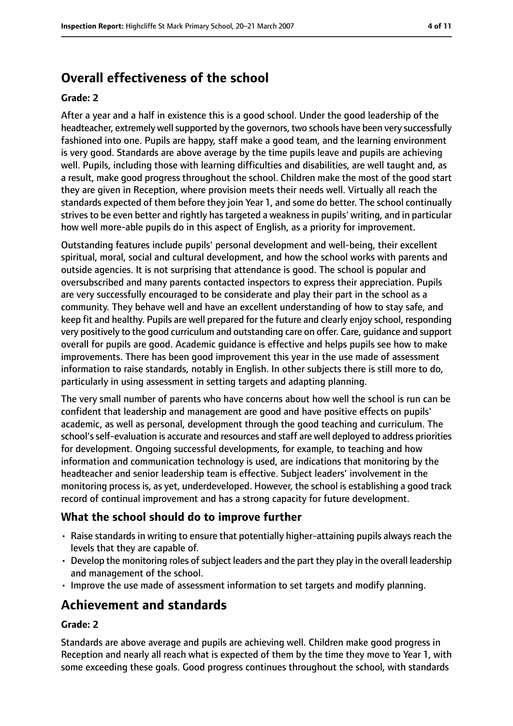# **Overall effectiveness of the school**

#### **Grade: 2**

After a year and a half in existence this is a good school. Under the good leadership of the headteacher, extremely well supported by the governors, two schools have been very successfully fashioned into one. Pupils are happy, staff make a good team, and the learning environment is very good. Standards are above average by the time pupils leave and pupils are achieving well. Pupils, including those with learning difficulties and disabilities, are well taught and, as a result, make good progress throughout the school. Children make the most of the good start they are given in Reception, where provision meets their needs well. Virtually all reach the standards expected of them before they join Year 1, and some do better. The school continually strives to be even better and rightly has targeted a weakness in pupils' writing, and in particular how well more-able pupils do in this aspect of English, as a priority for improvement.

Outstanding features include pupils' personal development and well-being, their excellent spiritual, moral, social and cultural development, and how the school works with parents and outside agencies. It is not surprising that attendance is good. The school is popular and oversubscribed and many parents contacted inspectors to express their appreciation. Pupils are very successfully encouraged to be considerate and play their part in the school as a community. They behave well and have an excellent understanding of how to stay safe, and keep fit and healthy. Pupils are well prepared for the future and clearly enjoy school, responding very positively to the good curriculum and outstanding care on offer. Care, guidance and support overall for pupils are good. Academic guidance is effective and helps pupils see how to make improvements. There has been good improvement this year in the use made of assessment information to raise standards, notably in English. In other subjects there is still more to do, particularly in using assessment in setting targets and adapting planning.

The very small number of parents who have concerns about how well the school is run can be confident that leadership and management are good and have positive effects on pupils' academic, as well as personal, development through the good teaching and curriculum. The school'sself-evaluation is accurate and resources and staff are well deployed to address priorities for development. Ongoing successful developments, for example, to teaching and how information and communication technology is used, are indications that monitoring by the headteacher and senior leadership team is effective. Subject leaders' involvement in the monitoring process is, as yet, underdeveloped. However, the school is establishing a good track record of continual improvement and has a strong capacity for future development.

## **What the school should do to improve further**

- Raise standards in writing to ensure that potentially higher-attaining pupils always reach the levels that they are capable of.
- $\cdot$  Develop the monitoring roles of subject leaders and the part they play in the overall leadership and management of the school.
- Improve the use made of assessment information to set targets and modify planning.

## **Achievement and standards**

#### **Grade: 2**

Standards are above average and pupils are achieving well. Children make good progress in Reception and nearly all reach what is expected of them by the time they move to Year 1, with some exceeding these goals. Good progress continues throughout the school, with standards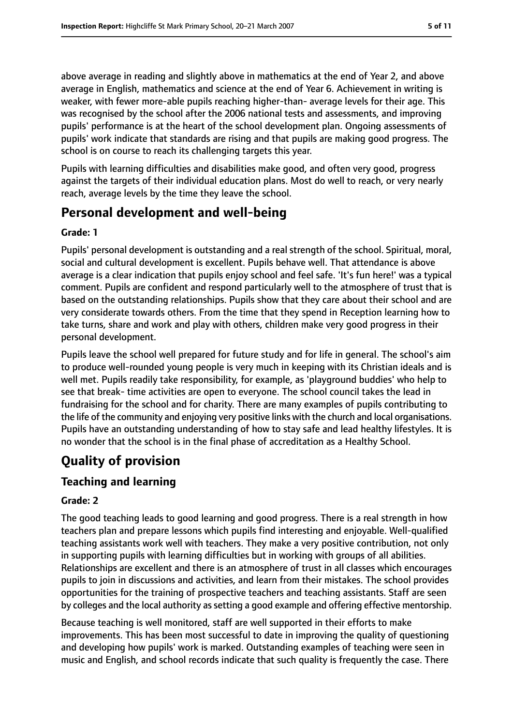above average in reading and slightly above in mathematics at the end of Year 2, and above average in English, mathematics and science at the end of Year 6. Achievement in writing is weaker, with fewer more-able pupils reaching higher-than- average levels for their age. This was recognised by the school after the 2006 national tests and assessments, and improving pupils' performance is at the heart of the school development plan. Ongoing assessments of pupils' work indicate that standards are rising and that pupils are making good progress. The school is on course to reach its challenging targets this year.

Pupils with learning difficulties and disabilities make good, and often very good, progress against the targets of their individual education plans. Most do well to reach, or very nearly reach, average levels by the time they leave the school.

## **Personal development and well-being**

#### **Grade: 1**

Pupils' personal development is outstanding and a real strength of the school. Spiritual, moral, social and cultural development is excellent. Pupils behave well. That attendance is above average is a clear indication that pupils enjoy school and feel safe. 'It's fun here!' was a typical comment. Pupils are confident and respond particularly well to the atmosphere of trust that is based on the outstanding relationships. Pupils show that they care about their school and are very considerate towards others. From the time that they spend in Reception learning how to take turns, share and work and play with others, children make very good progress in their personal development.

Pupils leave the school well prepared for future study and for life in general. The school's aim to produce well-rounded young people is very much in keeping with its Christian ideals and is well met. Pupils readily take responsibility, for example, as 'playground buddies' who help to see that break- time activities are open to everyone. The school council takes the lead in fundraising for the school and for charity. There are many examples of pupils contributing to the life of the community and enjoying very positive links with the church and local organisations. Pupils have an outstanding understanding of how to stay safe and lead healthy lifestyles. It is no wonder that the school is in the final phase of accreditation as a Healthy School.

# **Quality of provision**

## **Teaching and learning**

## **Grade: 2**

The good teaching leads to good learning and good progress. There is a real strength in how teachers plan and prepare lessons which pupils find interesting and enjoyable. Well-qualified teaching assistants work well with teachers. They make a very positive contribution, not only in supporting pupils with learning difficulties but in working with groups of all abilities. Relationships are excellent and there is an atmosphere of trust in all classes which encourages pupils to join in discussions and activities, and learn from their mistakes. The school provides opportunities for the training of prospective teachers and teaching assistants. Staff are seen by colleges and the local authority assetting a good example and offering effective mentorship.

Because teaching is well monitored, staff are well supported in their efforts to make improvements. This has been most successful to date in improving the quality of questioning and developing how pupils' work is marked. Outstanding examples of teaching were seen in music and English, and school records indicate that such quality is frequently the case. There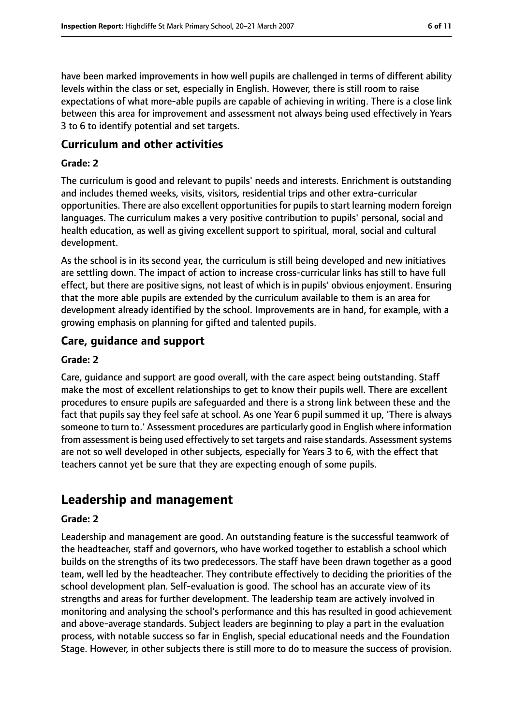have been marked improvements in how well pupils are challenged in terms of different ability levels within the class or set, especially in English. However, there is still room to raise expectations of what more-able pupils are capable of achieving in writing. There is a close link between this area for improvement and assessment not always being used effectively in Years 3 to 6 to identify potential and set targets.

#### **Curriculum and other activities**

#### **Grade: 2**

The curriculum is good and relevant to pupils' needs and interests. Enrichment is outstanding and includes themed weeks, visits, visitors, residential trips and other extra-curricular opportunities. There are also excellent opportunitiesfor pupilsto start learning modern foreign languages. The curriculum makes a very positive contribution to pupils' personal, social and health education, as well as giving excellent support to spiritual, moral, social and cultural development.

As the school is in its second year, the curriculum is still being developed and new initiatives are settling down. The impact of action to increase cross-curricular links has still to have full effect, but there are positive signs, not least of which is in pupils' obvious enjoyment. Ensuring that the more able pupils are extended by the curriculum available to them is an area for development already identified by the school. Improvements are in hand, for example, with a growing emphasis on planning for gifted and talented pupils.

#### **Care, guidance and support**

#### **Grade: 2**

Care, guidance and support are good overall, with the care aspect being outstanding. Staff make the most of excellent relationships to get to know their pupils well. There are excellent procedures to ensure pupils are safeguarded and there is a strong link between these and the fact that pupils say they feel safe at school. As one Year 6 pupil summed it up, 'There is always someone to turn to.' Assessment procedures are particularly good in English where information from assessment is being used effectively to set targets and raise standards. Assessment systems are not so well developed in other subjects, especially for Years 3 to 6, with the effect that teachers cannot yet be sure that they are expecting enough of some pupils.

## **Leadership and management**

#### **Grade: 2**

Leadership and management are good. An outstanding feature is the successful teamwork of the headteacher, staff and governors, who have worked together to establish a school which builds on the strengths of its two predecessors. The staff have been drawn together as a good team, well led by the headteacher. They contribute effectively to deciding the priorities of the school development plan. Self-evaluation is good. The school has an accurate view of its strengths and areas for further development. The leadership team are actively involved in monitoring and analysing the school's performance and this has resulted in good achievement and above-average standards. Subject leaders are beginning to play a part in the evaluation process, with notable success so far in English, special educational needs and the Foundation Stage. However, in other subjects there is still more to do to measure the success of provision.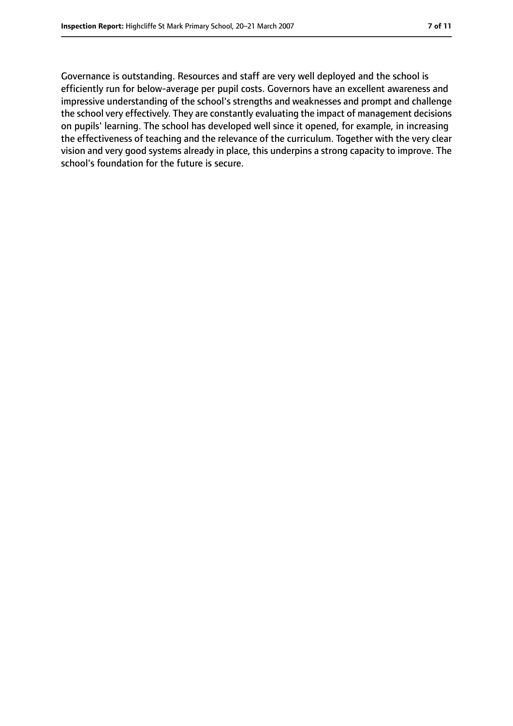Governance is outstanding. Resources and staff are very well deployed and the school is efficiently run for below-average per pupil costs. Governors have an excellent awareness and impressive understanding of the school's strengths and weaknesses and prompt and challenge the school very effectively. They are constantly evaluating the impact of management decisions on pupils' learning. The school has developed well since it opened, for example, in increasing the effectiveness of teaching and the relevance of the curriculum. Together with the very clear vision and very good systems already in place, this underpins a strong capacity to improve. The school's foundation for the future is secure.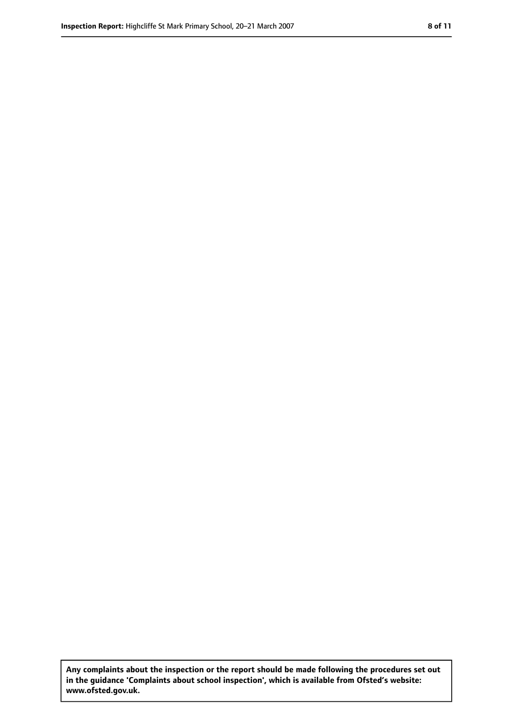**Any complaints about the inspection or the report should be made following the procedures set out in the guidance 'Complaints about school inspection', which is available from Ofsted's website: www.ofsted.gov.uk.**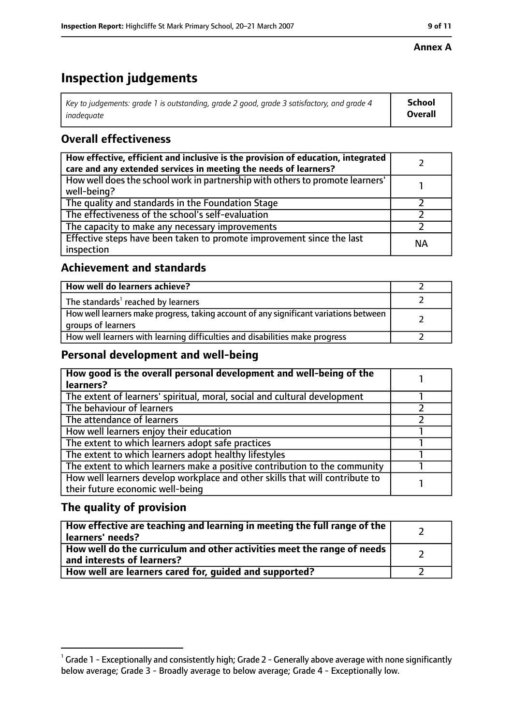#### **Annex A**

# **Inspection judgements**

| Key to judgements: grade 1 is outstanding, grade 2 good, grade 3 satisfactory, and grade 4 | School         |
|--------------------------------------------------------------------------------------------|----------------|
| inadeguate                                                                                 | <b>Overall</b> |

## **Overall effectiveness**

| How effective, efficient and inclusive is the provision of education, integrated<br>care and any extended services in meeting the needs of learners? |           |
|------------------------------------------------------------------------------------------------------------------------------------------------------|-----------|
| How well does the school work in partnership with others to promote learners'<br>well-being?                                                         |           |
| The quality and standards in the Foundation Stage                                                                                                    |           |
| The effectiveness of the school's self-evaluation                                                                                                    |           |
| The capacity to make any necessary improvements                                                                                                      |           |
| Effective steps have been taken to promote improvement since the last<br>inspection                                                                  | <b>NA</b> |

## **Achievement and standards**

| How well do learners achieve?                                                                               |  |
|-------------------------------------------------------------------------------------------------------------|--|
| The standards <sup>1</sup> reached by learners                                                              |  |
| How well learners make progress, taking account of any significant variations between<br>groups of learners |  |
| How well learners with learning difficulties and disabilities make progress                                 |  |

## **Personal development and well-being**

| How good is the overall personal development and well-being of the<br>learners?                                  |  |
|------------------------------------------------------------------------------------------------------------------|--|
| The extent of learners' spiritual, moral, social and cultural development                                        |  |
| The behaviour of learners                                                                                        |  |
| The attendance of learners                                                                                       |  |
| How well learners enjoy their education                                                                          |  |
| The extent to which learners adopt safe practices                                                                |  |
| The extent to which learners adopt healthy lifestyles                                                            |  |
| The extent to which learners make a positive contribution to the community                                       |  |
| How well learners develop workplace and other skills that will contribute to<br>their future economic well-being |  |

## **The quality of provision**

| How effective are teaching and learning in meeting the full range of the<br>learners' needs?          |  |
|-------------------------------------------------------------------------------------------------------|--|
| How well do the curriculum and other activities meet the range of needs<br>and interests of learners? |  |
| How well are learners cared for, guided and supported?                                                |  |

 $^1$  Grade 1 - Exceptionally and consistently high; Grade 2 - Generally above average with none significantly below average; Grade 3 - Broadly average to below average; Grade 4 - Exceptionally low.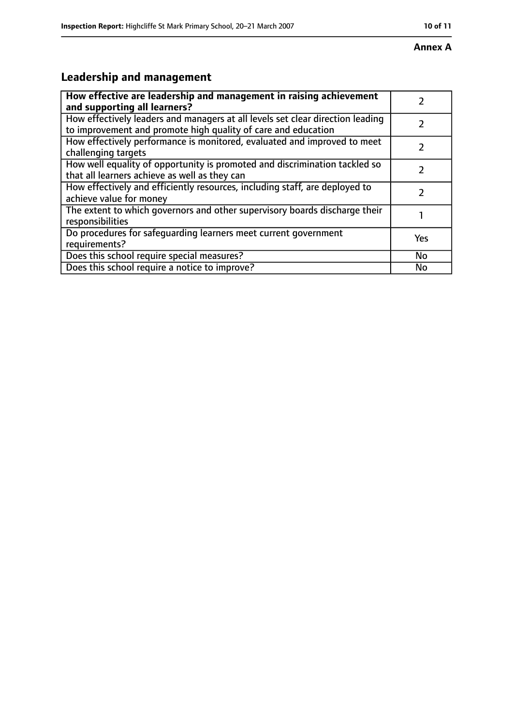#### **Annex A**

# **Leadership and management**

| How effective are leadership and management in raising achievement<br>and supporting all learners?                                              |     |
|-------------------------------------------------------------------------------------------------------------------------------------------------|-----|
| How effectively leaders and managers at all levels set clear direction leading<br>to improvement and promote high quality of care and education |     |
| How effectively performance is monitored, evaluated and improved to meet<br>challenging targets                                                 |     |
| How well equality of opportunity is promoted and discrimination tackled so<br>that all learners achieve as well as they can                     |     |
| How effectively and efficiently resources, including staff, are deployed to<br>achieve value for money                                          |     |
| The extent to which governors and other supervisory boards discharge their<br>responsibilities                                                  |     |
| Do procedures for safequarding learners meet current government<br>requirements?                                                                | Yes |
| Does this school require special measures?                                                                                                      | No  |
| Does this school require a notice to improve?                                                                                                   | No  |